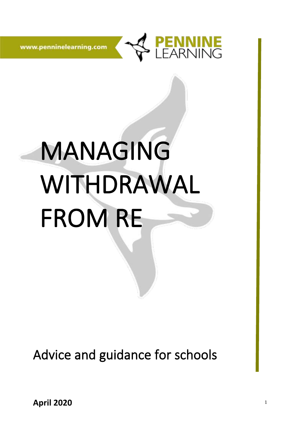

www.penninelearning.com

# MANAGING WITHDRAWAL FROM RE

Advice and guidance for schools

**April 2020**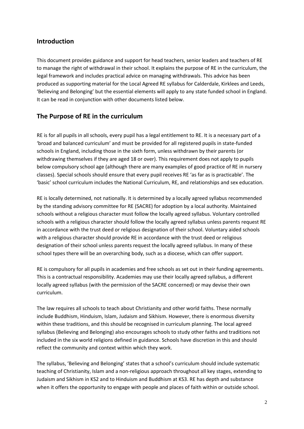## **Introduction**

This document provides guidance and support for head teachers, senior leaders and teachers of RE to manage the right of withdrawal in their school. It explains the purpose of RE in the curriculum, the legal framework and includes practical advice on managing withdrawals. This advice has been produced as supporting material for the Local Agreed RE syllabus for Calderdale, Kirklees and Leeds, 'Believing and Belonging' but the essential elements will apply to any state funded school in England. It can be read in conjunction with other documents listed below.

# **The Purpose of RE in the curriculum**

RE is for all pupils in all schools, every pupil has a legal entitlement to RE. It is a necessary part of a 'broad and balanced curriculum' and must be provided for all registered pupils in state-funded schools in England, including those in the sixth form, unless withdrawn by their parents (or withdrawing themselves if they are aged 18 or over). This requirement does not apply to pupils below compulsory school age (although there are many examples of good practice of RE in nursery classes). Special schools should ensure that every pupil receives RE 'as far as is practicable'. The 'basic' school curriculum includes the National Curriculum, RE, and relationships and sex education.

RE is locally determined, not nationally. It is determined by a locally agreed syllabus recommended by the standing advisory committee for RE (SACRE) for adoption by a local authority. Maintained schools without a religious character must follow the locally agreed syllabus. Voluntary controlled schools with a religious character should follow the locally agreed syllabus unless parents request RE in accordance with the trust deed or religious designation of their school. Voluntary aided schools with a religious character should provide RE in accordance with the trust deed or religious designation of their school unless parents request the locally agreed syllabus. In many of these school types there will be an overarching body, such as a diocese, which can offer support.

RE is compulsory for all pupils in academies and free schools as set out in their funding agreements. This is a contractual responsibility. Academies may use their locally agreed syllabus, a different locally agreed syllabus (with the permission of the SACRE concerned) or may devise their own curriculum.

The law requires all schools to teach about Christianity and other world faiths. These normally include Buddhism, Hinduism, Islam, Judaism and Sikhism. However, there is enormous diversity within these traditions, and this should be recognised in curriculum planning. The local agreed syllabus (Believing and Belonging) also encourages schools to study other faiths and traditions not included in the six world religions defined in guidance. Schools have discretion in this and should reflect the community and context within which they work.

The syllabus, 'Believing and Belonging' states that a school's curriculum should include systematic teaching of Christianity, Islam and a non-religious approach throughout all key stages, extending to Judaism and Sikhism in KS2 and to Hinduism and Buddhism at KS3. RE has depth and substance when it offers the opportunity to engage with people and places of faith within or outside school.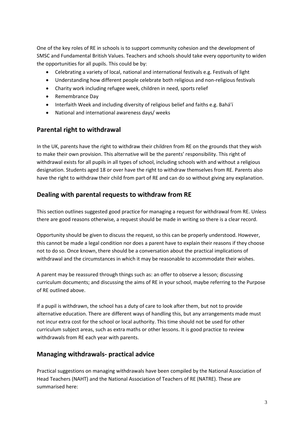One of the key roles of RE in schools is to support community cohesion and the development of SMSC and Fundamental British Values. Teachers and schools should take every opportunity to widen the opportunities for all pupils. This could be by:

- Celebrating a variety of local, national and international festivals e.g. Festivals of light
- Understanding how different people celebrate both religious and non-religious festivals
- Charity work including refugee week, children in need, sports relief
- Remembrance Day
- Interfaith Week and including diversity of religious belief and faiths e.g. Bahá'í
- National and international awareness days/ weeks

### **Parental right to withdrawal**

In the UK, parents have the right to withdraw their children from RE on the grounds that they wish to make their own provision. This alternative will be the parents' responsibility. This right of withdrawal exists for all pupils in all types of school, including schools with and without a religious designation. Students aged 18 or over have the right to withdraw themselves from RE. Parents also have the right to withdraw their child from part of RE and can do so without giving any explanation.

### **Dealing with parental requests to withdraw from RE**

This section outlines suggested good practice for managing a request for withdrawal from RE. Unless there are good reasons otherwise, a request should be made in writing so there is a clear record.

Opportunity should be given to discuss the request, so this can be properly understood. However, this cannot be made a legal condition nor does a parent have to explain their reasons if they choose not to do so. Once known, there should be a conversation about the practical implications of withdrawal and the circumstances in which it may be reasonable to accommodate their wishes.

A parent may be reassured through things such as: an offer to observe a lesson; discussing curriculum documents; and discussing the aims of RE in your school, maybe referring to the Purpose of RE outlined above.

If a pupil is withdrawn, the school has a duty of care to look after them, but not to provide alternative education. There are different ways of handling this, but any arrangements made must not incur extra cost for the school or local authority. This time should not be used for other curriculum subject areas, such as extra maths or other lessons. It is good practice to review withdrawals from RE each year with parents.

### **Managing withdrawals- practical advice**

Practical suggestions on managing withdrawals have been compiled by the National Association of Head Teachers (NAHT) and the National Association of Teachers of RE (NATRE). These are summarised here: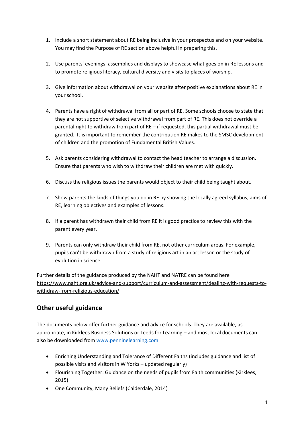- 1. Include a short statement about RE being inclusive in your prospectus and on your website. You may find the Purpose of RE section above helpful in preparing this.
- 2. Use parents' evenings, assemblies and displays to showcase what goes on in RE lessons and to promote religious literacy, cultural diversity and visits to places of worship.
- 3. Give information about withdrawal on your website after positive explanations about RE in your school.
- 4. Parents have a right of withdrawal from all or part of RE. Some schools choose to state that they are not supportive of selective withdrawal from part of RE. This does not override a parental right to withdraw from part of RE – if requested, this partial withdrawal must be granted. It is important to remember the contribution RE makes to the SMSC development of children and the promotion of Fundamental British Values.
- 5. Ask parents considering withdrawal to contact the head teacher to arrange a discussion. Ensure that parents who wish to withdraw their children are met with quickly.
- 6. Discuss the religious issues the parents would object to their child being taught about.
- 7. Show parents the kinds of things you do in RE by showing the locally agreed syllabus, aims of RE, learning objectives and examples of lessons.
- 8. If a parent has withdrawn their child from RE it is good practice to review this with the parent every year.
- 9. Parents can only withdraw their child from RE, not other curriculum areas. For example, pupils can't be withdrawn from a study of religious art in an art lesson or the study of evolution in science.

Further details of the guidance produced by the NAHT and NATRE can be found here [https://www.naht.org.uk/advice-and-support/curriculum-and-assessment/dealing-with-requests-to](https://www.naht.org.uk/advice-and-support/curriculum-and-assessment/dealing-with-requests-to-withdraw-from-religious-education/)[withdraw-from-religious-education/](https://www.naht.org.uk/advice-and-support/curriculum-and-assessment/dealing-with-requests-to-withdraw-from-religious-education/)

# **Other useful guidance**

The documents below offer further guidance and advice for schools. They are available, as appropriate, in Kirklees Business Solutions or Leeds for Learning – and most local documents can also be downloaded fro[m www.penninelearning.com.](http://www.penninelearning.com/)

- Enriching Understanding and Tolerance of Different Faiths (includes guidance and list of possible visits and visitors in W Yorks – updated regularly)
- Flourishing Together: Guidance on the needs of pupils from Faith communities (Kirklees, 2015)
- One Community, Many Beliefs (Calderdale, 2014)